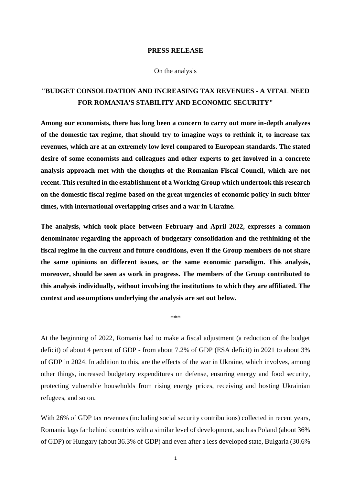## **PRESS RELEASE**

## On the analysis

## **"BUDGET CONSOLIDATION AND INCREASING TAX REVENUES - A VITAL NEED FOR ROMANIA'S STABILITY AND ECONOMIC SECURITY"**

**Among our economists, there has long been a concern to carry out more in-depth analyzes of the domestic tax regime, that should try to imagine ways to rethink it, to increase tax revenues, which are at an extremely low level compared to European standards. The stated desire of some economists and colleagues and other experts to get involved in a concrete analysis approach met with the thoughts of the Romanian Fiscal Council, which are not recent. This resulted in the establishment of a Working Group which undertook this research on the domestic fiscal regime based on the great urgencies of economic policy in such bitter times, with international overlapping crises and a war in Ukraine.**

**The analysis, which took place between February and April 2022, expresses a common denominator regarding the approach of budgetary consolidation and the rethinking of the fiscal regime in the current and future conditions, even if the Group members do not share the same opinions on different issues, or the same economic paradigm. This analysis, moreover, should be seen as work in progress. The members of the Group contributed to this analysis individually, without involving the institutions to which they are affiliated. The context and assumptions underlying the analysis are set out below.**

At the beginning of 2022, Romania had to make a fiscal adjustment (a reduction of the budget deficit) of about 4 percent of GDP - from about 7.2% of GDP (ESA deficit) in 2021 to about 3% of GDP in 2024. In addition to this, are the effects of the war in Ukraine, which involves, among other things, increased budgetary expenditures on defense, ensuring energy and food security, protecting vulnerable households from rising energy prices, receiving and hosting Ukrainian refugees, and so on.

\*\*\*

With 26% of GDP tax revenues (including social security contributions) collected in recent years, Romania lags far behind countries with a similar level of development, such as Poland (about 36% of GDP) or Hungary (about 36.3% of GDP) and even after a less developed state, Bulgaria (30.6%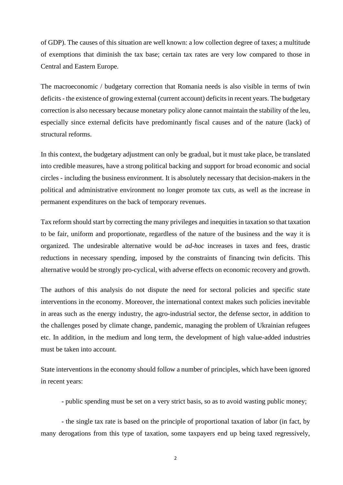of GDP). The causes of this situation are well known: a low collection degree of taxes; a multitude of exemptions that diminish the tax base; certain tax rates are very low compared to those in Central and Eastern Europe.

The macroeconomic / budgetary correction that Romania needs is also visible in terms of twin deficits - the existence of growing external (current account) deficits in recent years. The budgetary correction is also necessary because monetary policy alone cannot maintain the stability of the leu, especially since external deficits have predominantly fiscal causes and of the nature (lack) of structural reforms.

In this context, the budgetary adjustment can only be gradual, but it must take place, be translated into credible measures, have a strong political backing and support for broad economic and social circles - including the business environment. It is absolutely necessary that decision-makers in the political and administrative environment no longer promote tax cuts, as well as the increase in permanent expenditures on the back of temporary revenues.

Tax reform should start by correcting the many privileges and inequities in taxation so that taxation to be fair, uniform and proportionate, regardless of the nature of the business and the way it is organized. The undesirable alternative would be *ad-hoc* increases in taxes and fees, drastic reductions in necessary spending, imposed by the constraints of financing twin deficits. This alternative would be strongly pro-cyclical, with adverse effects on economic recovery and growth.

The authors of this analysis do not dispute the need for sectoral policies and specific state interventions in the economy. Moreover, the international context makes such policies inevitable in areas such as the energy industry, the agro-industrial sector, the defense sector, in addition to the challenges posed by climate change, pandemic, managing the problem of Ukrainian refugees etc. In addition, in the medium and long term, the development of high value-added industries must be taken into account.

State interventions in the economy should follow a number of principles, which have been ignored in recent years:

- public spending must be set on a very strict basis, so as to avoid wasting public money;

- the single tax rate is based on the principle of proportional taxation of labor (in fact, by many derogations from this type of taxation, some taxpayers end up being taxed regressively,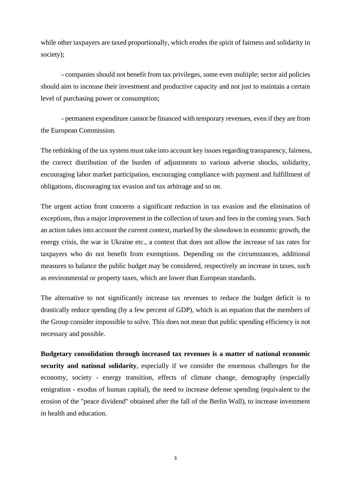while other taxpayers are taxed proportionally, which erodes the spirit of fairness and solidarity in society);

- companies should not benefit from tax privileges, some even multiple; sector aid policies should aim to increase their investment and productive capacity and not just to maintain a certain level of purchasing power or consumption;

- permanent expenditure cannot be financed with temporary revenues, even if they are from the European Commission.

The rethinking of the tax system must take into account key issues regarding transparency, fairness, the correct distribution of the burden of adjustments to various adverse shocks, solidarity, encouraging labor market participation, encouraging compliance with payment and fulfillment of obligations, discouraging tax evasion and tax arbitrage and so on.

The urgent action front concerns a significant reduction in tax evasion and the elimination of exceptions, thus a major improvement in the collection of taxes and fees in the coming years. Such an action takes into account the current context, marked by the slowdown in economic growth, the energy crisis, the war in Ukraine etc., a context that does not allow the increase of tax rates for taxpayers who do not benefit from exemptions. Depending on the circumstances, additional measures to balance the public budget may be considered, respectively an increase in taxes, such as environmental or property taxes, which are lower than European standards.

The alternative to not significantly increase tax revenues to reduce the budget deficit is to drastically reduce spending (by a few percent of GDP), which is an equation that the members of the Group consider impossible to solve. This does not mean that public spending efficiency is not necessary and possible.

**Budgetary consolidation through increased tax revenues is a matter of national economic security and national solidarity**, especially if we consider the enormous challenges for the economy, society - energy transition, effects of climate change, demography (especially emigration - exodus of human capital), the need to increase defense spending (equivalent to the erosion of the "peace dividend" obtained after the fall of the Berlin Wall), to increase investment in health and education.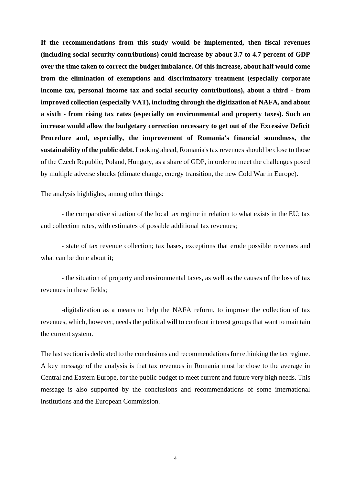**If the recommendations from this study would be implemented, then fiscal revenues (including social security contributions) could increase by about 3.7 to 4.7 percent of GDP over the time taken to correct the budget imbalance. Of this increase, about half would come from the elimination of exemptions and discriminatory treatment (especially corporate income tax, personal income tax and social security contributions), about a third - from improved collection (especially VAT), including through the digitization of NAFA, and about a sixth - from rising tax rates (especially on environmental and property taxes). Such an increase would allow the budgetary correction necessary to get out of the Excessive Deficit Procedure and, especially, the improvement of Romania's financial soundness, the sustainability of the public debt.** Looking ahead, Romania's tax revenues should be close to those of the Czech Republic, Poland, Hungary, as a share of GDP, in order to meet the challenges posed by multiple adverse shocks (climate change, energy transition, the new Cold War in Europe).

The analysis highlights, among other things:

- the comparative situation of the local tax regime in relation to what exists in the EU; tax and collection rates, with estimates of possible additional tax revenues;

- state of tax revenue collection; tax bases, exceptions that erode possible revenues and what can be done about it;

- the situation of property and environmental taxes, as well as the causes of the loss of tax revenues in these fields;

-digitalization as a means to help the NAFA reform, to improve the collection of tax revenues, which, however, needs the political will to confront interest groups that want to maintain the current system.

The last section is dedicated to the conclusions and recommendations for rethinking the tax regime. A key message of the analysis is that tax revenues in Romania must be close to the average in Central and Eastern Europe, for the public budget to meet current and future very high needs. This message is also supported by the conclusions and recommendations of some international institutions and the European Commission.

4